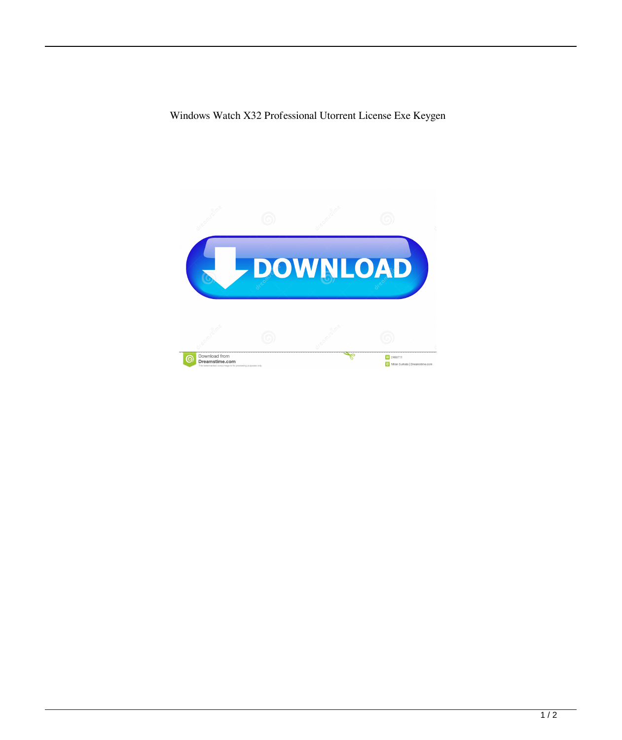Windows Watch X32 Professional Utorrent License Exe Keygen